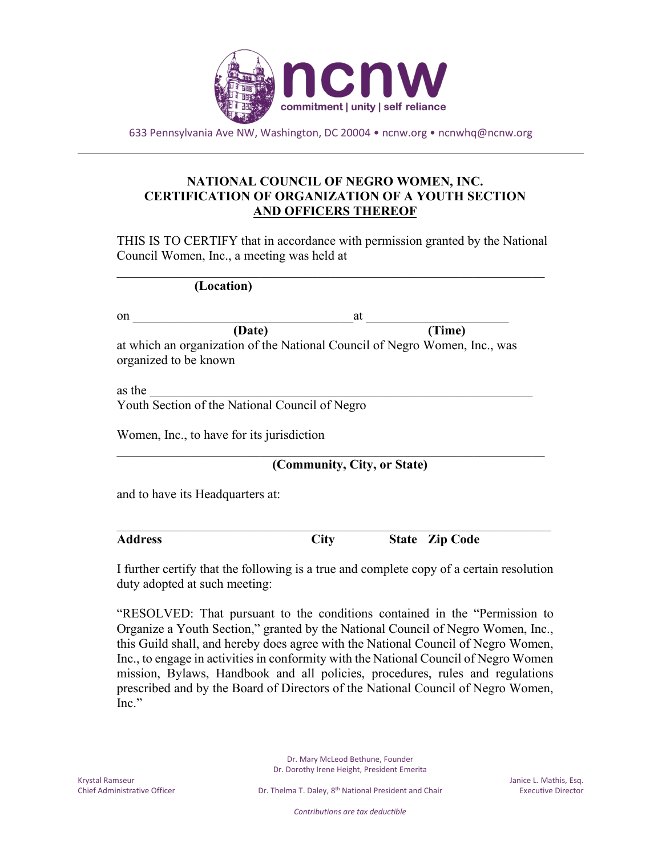

633 Pennsylvania Ave NW, Washington, DC 20004 • ncnw.org • ncnwhq@ncnw.org

## **NATIONAL COUNCIL OF NEGRO WOMEN, INC. CERTIFICATION OF ORGANIZATION OF A YOUTH SECTION AND OFFICERS THEREOF**

THIS IS TO CERTIFY that in accordance with permission granted by the National Council Women, Inc., a meeting was held at

 $\mathcal{L}_\text{G}$ 

| (Location) |  |
|------------|--|
|            |  |

| on                                                                                                  | at     |
|-----------------------------------------------------------------------------------------------------|--------|
| (Date)                                                                                              | (Time) |
| at which an organization of the National Council of Negro Women, Inc., was<br>organized to be known |        |

as the  $\blacksquare$ Youth Section of the National Council of Negro

Women, Inc., to have for its jurisdiction

**(Community, City, or State)**

 $\mathcal{L}_\text{G}$ 

and to have its Headquarters at:

 $\mathcal{L}_\mathcal{L}$  , and the contribution of the contribution of the contribution of the contribution of the contribution of the contribution of the contribution of the contribution of the contribution of the contribution of **Address City State Zip Code**

I further certify that the following is a true and complete copy of a certain resolution duty adopted at such meeting:

"RESOLVED: That pursuant to the conditions contained in the "Permission to Organize a Youth Section," granted by the National Council of Negro Women, Inc., this Guild shall, and hereby does agree with the National Council of Negro Women, Inc., to engage in activities in conformity with the National Council of Negro Women mission, Bylaws, Handbook and all policies, procedures, rules and regulations prescribed and by the Board of Directors of the National Council of Negro Women, Inc."

> Dr. Mary McLeod Bethune, Founder Dr. Dorothy Irene Height, President Emerita

*Contributions are tax deductible*